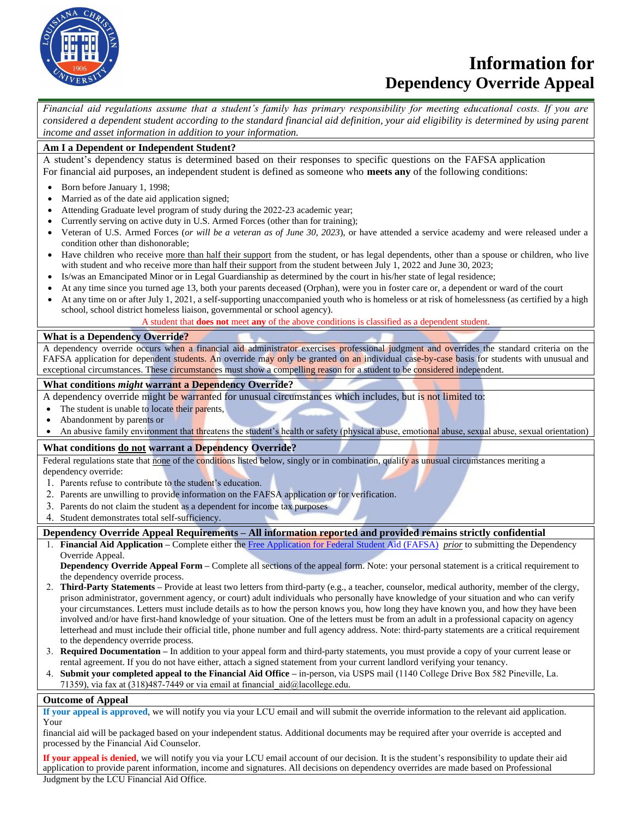

# **Information for Dependency Override Appeal**

*Financial aid regulations assume that a student's family has primary responsibility for meeting educational costs. If you are considered a dependent student according to the standard financial aid definition, your aid eligibility is determined by using parent income and asset information in addition to your information.*

# **Am I a Dependent or Independent Student?**

A student's dependency status is determined based on their responses to specific questions on the FAFSA application For financial aid purposes, an independent student is defined as someone who **meets any** of the following conditions:

- Born before January 1, 1998;
- Married as of the date aid application signed;
- Attending Graduate level program of study during the 2022-23 academic year;
- Currently serving on active duty in U.S. Armed Forces (other than for training);
- Veteran of U.S. Armed Forces (*or will be a veteran as of June 30, 2023*), or have attended a service academy and were released under a condition other than dishonorable;
- Have children who receive more than half their support from the student, or has legal dependents, other than a spouse or children, who live with student and who receive more than half their support from the student between July 1, 2022 and June 30, 2023;
- Is/was an Emancipated Minor or in Legal Guardianship as determined by the court in his/her state of legal residence;
- At any time since you turned age 13, both your parents deceased (Orphan), were you in foster care or, a dependent or ward of the court
- At any time on or after July 1, 2021, a self-supporting unaccompanied youth who is homeless or at risk of homelessness (as certified by a high school, school district homeless liaison, governmental or school agency).

A student that **does not** meet **any** of the above conditions is classified as a dependent student.

#### **What is a Dependency Override?**

A dependency override occurs when a financial aid administrator exercises professional judgment and overrides the standard criteria on the FAFSA application for dependent students. An override may only be granted on an individual case-by-case basis for students with unusual and exceptional circumstances. These circumstances must show a compelling reason for a student to be considered independent.

#### **What conditions** *might* **warrant a Dependency Override?**

A dependency override might be warranted for unusual circumstances which includes, but is not limited to:

- The student is unable to locate their parents,
- Abandonment by parents or
- An abusive family environment that threatens the student's health or safety (physical abuse, emotional abuse, sexual abuse, sexual orientation)

## **What conditions do not warrant a Dependency Override?**

Federal regulations state that none of the conditions listed below, singly or in combination, qualify as unusual circumstances meriting a dependency override:

- 1. Parents refuse to contribute to the student's education.
- 2. Parents are unwilling to provide information on the FAFSA application or for verification.
- 3. Parents do not claim the student as a dependent for income tax purposes
- 4. Student demonstrates total self-sufficiency.

## **Dependency Override Appeal Requirements – All information reported and provided remains strictly confidential**

1. **Financial Aid Application –** Complete either the [Free Application for Federal Student Aid \(FAFSA\)](https://fafsa.ed.gov/) *prior* [to submitting the Dependenc](https://dream.csac.ca.gov/)y Override Appeal.

**Dependency Override Appeal Form –** Complete all sections of the appeal form. Note: your personal statement is a critical requirement to the dependency override process.

- 2. **Third-Party Statements –** Provide at least two letters from third-party (e.g., a teacher, counselor, medical authority, member of the clergy, prison administrator, government agency, or court) adult individuals who personally have knowledge of your situation and who can verify your circumstances. Letters must include details as to how the person knows you, how long they have known you, and how they have been involved and/or have first-hand knowledge of your situation. One of the letters must be from an adult in a professional capacity on agency letterhead and must include their official title, phone number and full agency address. Note: third-party statements are a critical requirement to the dependency override process.
- 3. **Required Documentation –** In addition to your appeal form and third-party statements, you must provide a copy of your current lease or rental agreement. If you do not have either, attach a signed statement from your current landlord verifying your tenancy.
- 4. **Submit your completed appeal to the Financial Aid Office –** in-person, via USPS mail (1140 College Drive Box 582 Pineville, La. 71359), via fax at (318)487-7449 or via email at financial\_aid@lacollege.edu.

#### **Outcome of Appeal**

**If your appeal is approved**, we will notify you via your LCU email and will submit the override information to the relevant aid application. Your

financial aid will be packaged based on your independent status. Additional documents may be required after your override is accepted and processed by the Financial Aid Counselor.

**If your appeal is denied**, we will notify you via your LCU email account of our decision. It is the student's responsibility to update their aid application to provide parent information, income and signatures. All decisions on dependency overrides are made based on Professional Judgment by the LCU Financial Aid Office.